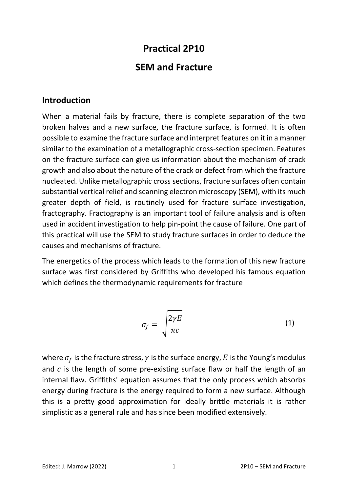# **Practical 2P10**

## **SEM and Fracture**

#### **Introduction**

When a material fails by fracture, there is complete separation of the two broken halves and a new surface, the fracture surface, is formed. It is often possible to examine the fracture surface and interpret features on it in a manner similar to the examination of a metallographic cross-section specimen. Features on the fracture surface can give us information about the mechanism of crack growth and also about the nature of the crack or defect from which the fracture nucleated. Unlike metallographic cross sections, fracture surfaces often contain substantial vertical relief and scanning electron microscopy (SEM), with its much greater depth of field, is routinely used for fracture surface investigation, fractography. Fractography is an important tool of failure analysis and is often used in accident investigation to help pin-point the cause of failure. One part of this practical will use the SEM to study fracture surfaces in order to deduce the causes and mechanisms of fracture.

The energetics of the process which leads to the formation of this new fracture surface was first considered by Griffiths who developed his famous equation which defines the thermodynamic requirements for fracture

$$
\sigma_f = \sqrt{\frac{2\gamma E}{\pi c}}
$$
 (1)

where  $\sigma_f$  is the fracture stress,  $\gamma$  is the surface energy, E is the Young's modulus and  $c$  is the length of some pre-existing surface flaw or half the length of an internal flaw. Griffiths' equation assumes that the only process which absorbs energy during fracture is the energy required to form a new surface. Although this is a pretty good approximation for ideally brittle materials it is rather simplistic as a general rule and has since been modified extensively.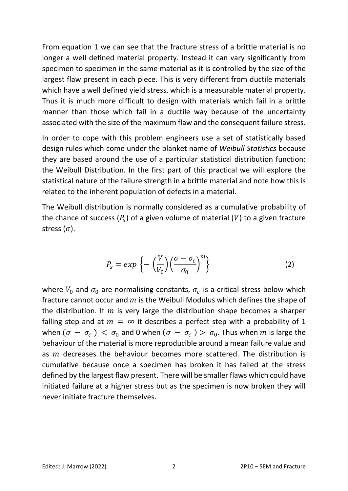From equation 1 we can see that the fracture stress of a brittle material is no longer a well defined material property. Instead it can vary significantly from specimen to specimen in the same material as it is controlled by the size of the largest flaw present in each piece. This is very different from ductile materials which have a well defined yield stress, which is a measurable material property. Thus it is much more difficult to design with materials which fail in a brittle manner than those which fail in a ductile way because of the uncertainty associated with the size of the maximum flaw and the consequent failure stress.

In order to cope with this problem engineers use a set of statistically based design rules which come under the blanket name of *Weibull Statistics* because they are based around the use of a particular statistical distribution function: the Weibull Distribution. In the first part of this practical we will explore the statistical nature of the failure strength in a brittle material and note how this is related to the inherent population of defects in a material.

The Weibull distribution is normally considered as a cumulative probability of the chance of success  $(P_s)$  of a given volume of material  $(V)$  to a given fracture stress  $(\sigma)$ .

$$
P_{s} = exp \left\{-\left(\frac{V}{V_{0}}\right) \left(\frac{\sigma - \sigma_{c}}{\sigma_{0}}\right)^{m}\right\}
$$
 (2)

where  $V_0$  and  $\sigma_0$  are normalising constants,  $\sigma_c$  is a critical stress below which fracture cannot occur and  $m$  is the Weibull Modulus which defines the shape of the distribution. If  $m$  is very large the distribution shape becomes a sharper falling step and at  $m = \infty$  it describes a perfect step with a probability of 1 when  $(\sigma - \sigma_c) < \sigma_0$  and 0 when  $(\sigma - \sigma_c) > \sigma_0$ . Thus when m is large the behaviour of the material is more reproducible around a mean failure value and as  $m$  decreases the behaviour becomes more scattered. The distribution is cumulative because once a specimen has broken it has failed at the stress defined by the largest flaw present. There will be smaller flaws which could have initiated failure at a higher stress but as the specimen is now broken they will never initiate fracture themselves.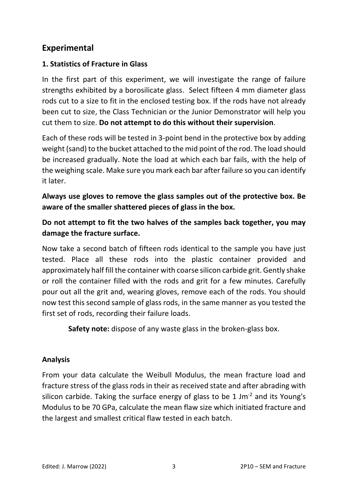## **Experimental**

#### **1. Statistics of Fracture in Glass**

In the first part of this experiment, we will investigate the range of failure strengths exhibited by a borosilicate glass. Select fifteen 4 mm diameter glass rods cut to a size to fit in the enclosed testing box. If the rods have not already been cut to size, the Class Technician or the Junior Demonstrator will help you cut them to size. **Do not attempt to do this without their supervision**.

Each of these rods will be tested in 3-point bend in the protective box by adding weight (sand) to the bucket attached to the mid point of the rod. The load should be increased gradually. Note the load at which each bar fails, with the help of the weighing scale. Make sure you mark each bar after failure so you can identify it later.

**Always use gloves to remove the glass samples out of the protective box. Be aware of the smaller shattered pieces of glass in the box.**

**Do not attempt to fit the two halves of the samples back together, you may damage the fracture surface.**

Now take a second batch of fifteen rods identical to the sample you have just tested. Place all these rods into the plastic container provided and approximately half fill the container with coarse silicon carbide grit. Gently shake or roll the container filled with the rods and grit for a few minutes. Carefully pour out all the grit and, wearing gloves, remove each of the rods. You should now test this second sample of glass rods, in the same manner as you tested the first set of rods, recording their failure loads.

**Safety note:** dispose of any waste glass in the broken-glass box.

#### **Analysis**

From your data calculate the Weibull Modulus, the mean fracture load and fracture stress of the glass rods in their as received state and after abrading with silicon carbide. Taking the surface energy of glass to be 1 Jm<sup>-2</sup> and its Young's Modulus to be 70 GPa, calculate the mean flaw size which initiated fracture and the largest and smallest critical flaw tested in each batch.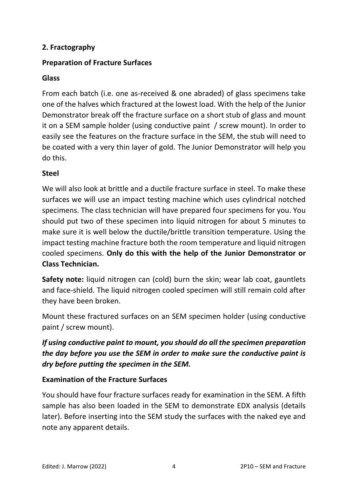### **2. Fractography**

#### **Preparation of Fracture Surfaces**

#### **Glass**

From each batch (i.e. one as-received & one abraded) of glass specimens take one of the halves which fractured at the lowest load. With the help of the Junior Demonstrator break off the fracture surface on a short stub of glass and mount it on a SEM sample holder (using conductive paint / screw mount). In order to easily see the features on the fracture surface in the SEM, the stub will need to be coated with a very thin layer of gold. The Junior Demonstrator will help you do this.

#### **Steel**

We will also look at brittle and a ductile fracture surface in steel. To make these surfaces we will use an impact testing machine which uses cylindrical notched specimens. The class technician will have prepared four specimens for you. You should put two of these specimen into liquid nitrogen for about 5 minutes to make sure it is well below the ductile/brittle transition temperature. Using the impact testing machine fracture both the room temperature and liquid nitrogen cooled specimens. **Only do this with the help of the Junior Demonstrator or Class Technician.**

**Safety note:** liquid nitrogen can (cold) burn the skin; wear lab coat, gauntlets and face-shield. The liquid nitrogen cooled specimen will still remain cold after they have been broken.

Mount these fractured surfaces on an SEM specimen holder (using conductive paint / screw mount).

### *If using conductive paint to mount, you should do all the specimen preparation the day before you use the SEM in order to make sure the conductive paint is dry before putting the specimen in the SEM.*

### **Examination of the Fracture Surfaces**

You should have four fracture surfaces ready for examination in the SEM. A fifth sample has also been loaded in the SEM to demonstrate EDX analysis (details later). Before inserting into the SEM study the surfaces with the naked eye and note any apparent details.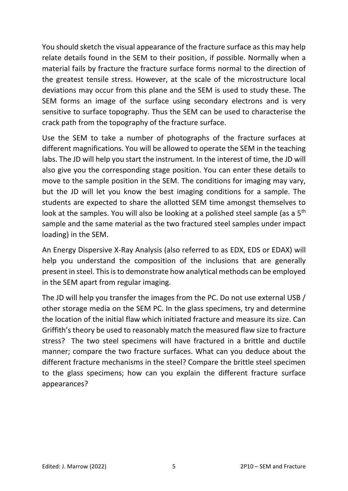You should sketch the visual appearance of the fracture surface as this may help relate details found in the SEM to their position, if possible. Normally when a material fails by fracture the fracture surface forms normal to the direction of the greatest tensile stress. However, at the scale of the microstructure local deviations may occur from this plane and the SEM is used to study these. The SEM forms an image of the surface using secondary electrons and is very sensitive to surface topography. Thus the SEM can be used to characterise the crack path from the topography of the fracture surface.

Use the SEM to take a number of photographs of the fracture surfaces at different magnifications. You will be allowed to operate the SEM in the teaching labs. The JD will help you start the instrument. In the interest of time, the JD will also give you the corresponding stage position. You can enter these details to move to the sample position in the SEM. The conditions for imaging may vary, but the JD will let you know the best imaging conditions for a sample. The students are expected to share the allotted SEM time amongst themselves to look at the samples. You will also be looking at a polished steel sample (as a 5<sup>th</sup> sample and the same material as the two fractured steel samples under impact loading) in the SEM.

An Energy Dispersive X-Ray Analysis (also referred to as EDX, EDS or EDAX) will help you understand the composition of the inclusions that are generally present in steel. This is to demonstrate how analytical methods can be employed in the SEM apart from regular imaging.

The JD will help you transfer the images from the PC. Do not use external USB / other storage media on the SEM PC. In the glass specimens, try and determine the location of the initial flaw which initiated fracture and measure its size. Can Griffith's theory be used to reasonably match the measured flaw size to fracture stress? The two steel specimens will have fractured in a brittle and ductile manner; compare the two fracture surfaces. What can you deduce about the different fracture mechanisms in the steel? Compare the brittle steel specimen to the glass specimens; how can you explain the different fracture surface appearances?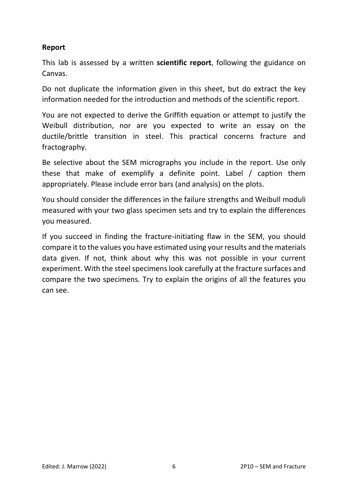#### **Report**

This lab is assessed by a written **scientific report**, following the guidance on Canvas.

Do not duplicate the information given in this sheet, but do extract the key information needed for the introduction and methods of the scientific report.

You are not expected to derive the Griffith equation or attempt to justify the Weibull distribution, nor are you expected to write an essay on the ductile/brittle transition in steel. This practical concerns fracture and fractography.

Be selective about the SEM micrographs you include in the report. Use only these that make of exemplify a definite point. Label / caption them appropriately. Please include error bars (and analysis) on the plots.

You should consider the differences in the failure strengths and Weibull moduli measured with your two glass specimen sets and try to explain the differences you measured.

If you succeed in finding the fracture-initiating flaw in the SEM, you should compare it to the values you have estimated using your results and the materials data given. If not, think about why this was not possible in your current experiment. With the steel specimens look carefully at the fracture surfaces and compare the two specimens. Try to explain the origins of all the features you can see.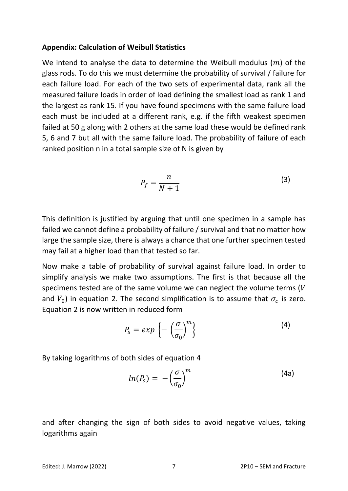#### **Appendix: Calculation of Weibull Statistics**

We intend to analyse the data to determine the Weibull modulus  $(m)$  of the glass rods. To do this we must determine the probability of survival / failure for each failure load. For each of the two sets of experimental data, rank all the measured failure loads in order of load defining the smallest load as rank 1 and the largest as rank 15. If you have found specimens with the same failure load each must be included at a different rank, e.g. if the fifth weakest specimen failed at 50 g along with 2 others at the same load these would be defined rank 5, 6 and 7 but all with the same failure load. The probability of failure of each ranked position n in a total sample size of N is given by

$$
P_f = \frac{n}{N+1} \tag{3}
$$

This definition is justified by arguing that until one specimen in a sample has failed we cannot define a probability of failure / survival and that no matter how large the sample size, there is always a chance that one further specimen tested may fail at a higher load than that tested so far.

Now make a table of probability of survival against failure load. In order to simplify analysis we make two assumptions. The first is that because all the specimens tested are of the same volume we can neglect the volume terms  $(V$ and  $V_0$ ) in equation 2. The second simplification is to assume that  $\sigma_c$  is zero. Equation 2 is now written in reduced form

$$
P_s = exp\left\{-\left(\frac{\sigma}{\sigma_0}\right)^m\right\} \tag{4}
$$

By taking logarithms of both sides of equation 4

$$
ln(P_s) = -\left(\frac{\sigma}{\sigma_0}\right)^m \tag{4a}
$$

and after changing the sign of both sides to avoid negative values, taking logarithms again